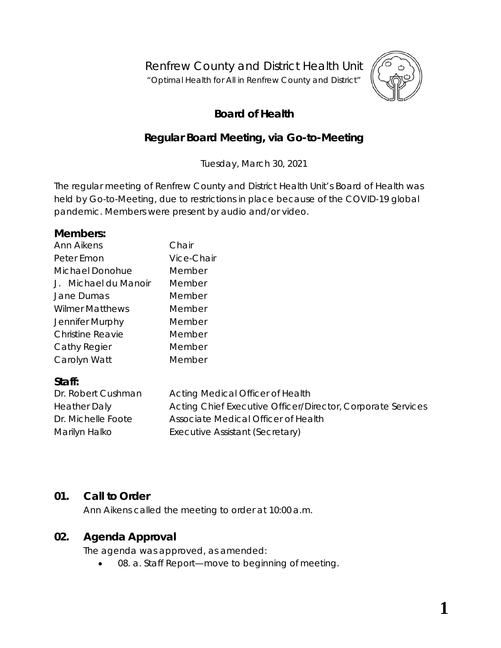Renfrew County and District Health Unit

"*Optimal Health for All in Renfrew County and District"*



# **Board of Health**

## **Regular Board Meeting, via** *Go-to-Meeting*

Tuesday, March 30, 2021

The regular meeting of Renfrew County and District Health Unit's Board of Health was held by *Go-to-Meeting,* due to restrictions in place because of the COVID-19 global pandemic. Members were present by audio and/or video.

#### **Members:**

| Ann Aikens             | Chair      |
|------------------------|------------|
| Peter Emon             | Vice-Chair |
| Michael Donohue        | Member     |
| J. Michael du Manoir   | Member     |
| Jane Dumas             | Member     |
| <b>Wilmer Matthews</b> | Member     |
| Jennifer Murphy        | Member     |
| Christine Reavie       | Member     |
| Cathy Regier           | Member     |
| Carolyn Watt           | Member     |

#### **Staff:**

| Dr. Robert Cushman  | Acting Medical Officer of Health                            |
|---------------------|-------------------------------------------------------------|
| <b>Heather Daly</b> | Acting Chief Executive Officer/Director, Corporate Services |
| Dr. Michelle Foote  | Associate Medical Officer of Health                         |
| Marilyn Halko       | Executive Assistant (Secretary)                             |

## **01. Call to Order**

Ann Aikens called the meeting to order at 10:00 a.m.

## **02. Agenda Approval**

The agenda was approved, as amended:

08. a. Staff Report—move to beginning of meeting.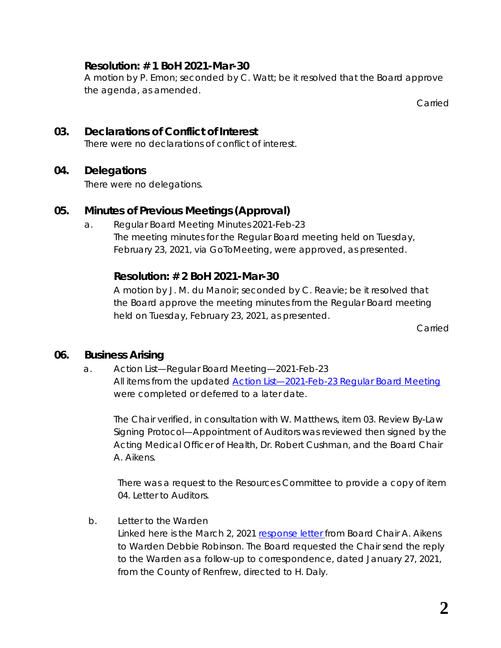## **Resolution: # 1 BoH 2021-Mar-30**

A motion by P. Emon; seconded by C. Watt; be it resolved that the Board approve the agenda, as amended.

Carried

#### **03. Declarations of Conflict of Interest** There were no declarations of conflict of interest.

## **04. Delegations**

There were no delegations.

## **05. Minutes of Previous Meetings (Approval)**

a. Regular Board Meeting Minutes 2021-Feb-23 The meeting minutes for the Regular Board meeting held on Tuesday, February 23, 2021, via *GoToMeeting*, were approved, as presented.

## **Resolution: # 2 BoH 2021-Mar-30**

A motion by J. M. du Manoir; seconded by C. Reavie; be it resolved that the Board approve the meeting minutes from the Regular Board meeting held on Tuesday, February 23, 2021, as presented.

Carried

## **06. Business Arising**

a. Action List—Regular Board Meeting—2021-Feb-23 All items from the updated **Action List-2021-Feb-23 Regular Board Meeting** were completed or deferred to a later date.

The Chair verified, in consultation with W. Matthews, item *03. Review By-Law Signing Protocol—Appointment of Auditors* was reviewed then signed by the Acting Medical Officer of Health, Dr. Robert Cushman, and the Board Chair A. Aikens.

There was a request to the Resources Committee to provide a copy of item *04. Letter to Auditors*.

b. Letter to the Warden

Linked here is the March 2, 2021 [response letter f](https://www.rcdhu.com/wp-content/uploads/2021/04/06.-b.-Letter-to-Warden-Robinson-2021-Mar-02-1.pdf)rom Board Chair A. Aikens to Warden Debbie Robinson. The Board requested the Chair send the reply to the Warden as a follow-up to correspondence, dated January 27, 2021, from the County of Renfrew, directed to H. Daly.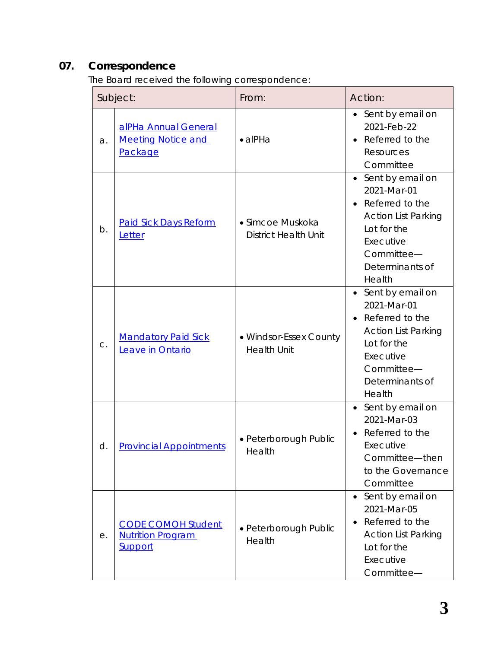# **07. Correspondence**

The Board received the following correspondence:

| Subject: |                                                                         | From:                                           | Action:                                                                                                                                                              |
|----------|-------------------------------------------------------------------------|-------------------------------------------------|----------------------------------------------------------------------------------------------------------------------------------------------------------------------|
| a.       | alPHa Annual General<br><b>Meeting Notice and</b><br>Package            | $\bullet$ alPHa                                 | Sent by email on<br>2021-Feb-22<br>Referred to the<br>Resources<br>Committee                                                                                         |
| b.       | <b>Paid Sick Days Reform</b><br>Letter                                  | • Simcoe Muskoka<br><b>District Health Unit</b> | Sent by email on<br>$\bullet$<br>2021-Mar-01<br>Referred to the<br><b>Action List Parking</b><br>Lot for the<br>Executive<br>Committee-<br>Determinants of<br>Health |
| C.       | <b>Mandatory Paid Sick</b><br>Leave in Ontario                          | • Windsor-Essex County<br><b>Health Unit</b>    | Sent by email on<br>2021-Mar-01<br>Referred to the<br><b>Action List Parking</b><br>Lot for the<br>Executive<br>Committee-<br>Determinants of<br>Health              |
| d.       | <b>Provincial Appointments</b>                                          | · Peterborough Public<br>Health                 | • Sent by email on<br>2021-Mar-03<br>Referred to the<br>Executive<br>Committee-then<br>to the Governance<br>Committee                                                |
| е.       | <b>CODE COMOH Student</b><br><b>Nutrition Program</b><br><b>Support</b> | • Peterborough Public<br>Health                 | Sent by email on<br>$\bullet$<br>2021-Mar-05<br>Referred to the<br><b>Action List Parking</b><br>Lot for the<br>Executive<br>Committee-                              |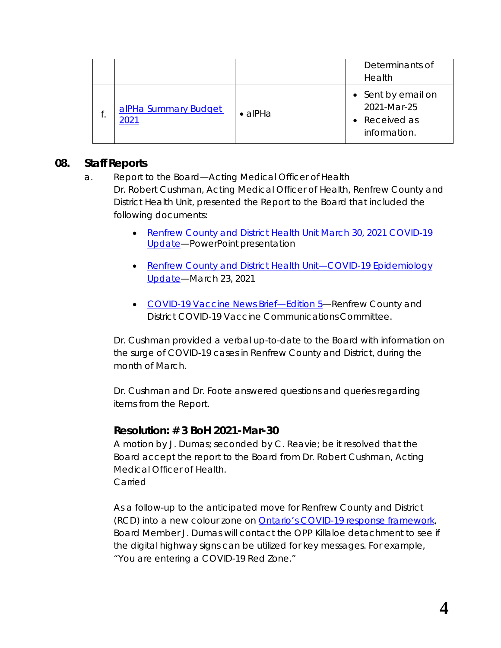|                              |                 | Determinants of<br>Health                                        |
|------------------------------|-----------------|------------------------------------------------------------------|
| alPHa Summary Budget<br>2021 | $\bullet$ alPHa | • Sent by email on<br>2021-Mar-25<br>Received as<br>information. |

## **08. Staff Reports**

- a. Report to the Board—Acting Medical Officer of Health Dr. Robert Cushman, Acting Medical Officer of Health, Renfrew County and District Health Unit, presented the *Report to the Board* that included the following documents:
	- [Renfrew County and District Health Unit March 30, 2021 COVID-19](https://www.rcdhu.com/wp-content/uploads/2021/11/Renfrew-County-and-District-Health-Unit-March-30-2021-COVID-19-Update.pdf)  [Update—](https://www.rcdhu.com/wp-content/uploads/2021/11/Renfrew-County-and-District-Health-Unit-March-30-2021-COVID-19-Update.pdf)PowerPoint presentation
	- Renfrew County and District Health Unit—COVID-19 Epidemiology [Update—](https://www.rcdhu.com/wp-content/uploads/2021/11/RCDHU-Epidemiology-Update-March-23-2021.pdf)March 23, 2021
	- COVID-19 Vaccine News Brief-Edition 5-Renfrew County and District COVID-19 Vaccine Communications Committee.

Dr. Cushman provided a verbal up-to-date to the Board with information on the surge of COVID-19 cases in Renfrew County and District, during the month of March.

Dr. Cushman and Dr. Foote answered questions and queries regarding items from the *Report*.

#### **Resolution: # 3 BoH 2021-Mar-30**

A motion by J. Dumas; seconded by C. Reavie; be it resolved that the Board accept the report to the Board from Dr. Robert Cushman, Acting Medical Officer of Health. Carried

As a follow-up to the anticipated move for Renfrew County and District (RCD) into a new colour zone on [Ontario's COVID-19 response framework,](https://www.ontario.ca/page/covid-19-response-framework-keeping-ontario-safe-and-open) Board Member J. Dumas will contact the OPP Killaloe detachment to see if the digital highway signs can be utilized for key messages. For example, "*You are entering a COVID-19 Red Zone.*"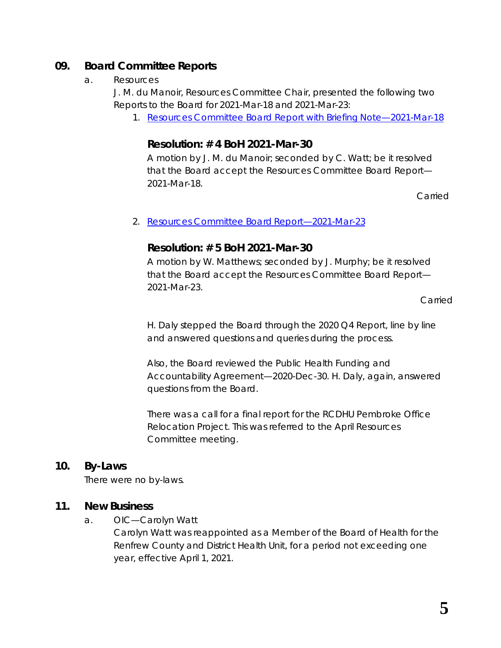## **09. Board Committee Reports**

#### a. Resources

J. M. du Manoir, Resources Committee Chair, presented the following two Reports to the Board for 2021-Mar-18 and 2021-Mar-23:

1. [Resources Committee Board Report with Briefing](https://www.rcdhu.com/wp-content/uploads/2021/04/09.-a.-i.-Resources-Committee-Board-Report-2021-Mar-18.pdf) Note—2021-Mar-18

## **Resolution: # 4 BoH 2021-Mar-30**

A motion by J. M. du Manoir; seconded by C. Watt; be it resolved that the Board accept the Resources Committee Board Report— 2021-Mar-18.

Carried

#### 2. [Resources Committee Board](https://www.rcdhu.com/wp-content/uploads/2021/04/09.-a.-ii.-Resources-Committee-Board-Report-2021-Mar-23.pdf) Report—2021-Mar-23

## **Resolution: # 5 BoH 2021-Mar-30**

A motion by W. Matthews; seconded by J. Murphy; be it resolved that the Board accept the Resources Committee Board Report— 2021-Mar-23.

Carried

H. Daly stepped the Board through the 2020 Q4 Report, line by line and answered questions and queries during the process.

Also, the Board reviewed the Public Health Funding and Accountability Agreement—2020-Dec-30. H. Daly, again, answered questions from the Board.

There was a call for a final report for the RCDHU Pembroke Office Relocation Project. This was referred to the April Resources Committee meeting.

## **10. By-Laws**

There were no by-laws.

## **11. New Business**

a. OIC—Carolyn Watt

Carolyn Watt was reappointed as a Member of the Board of Health for the Renfrew County and District Health Unit, for a period not exceeding one year, effective April 1, 2021.